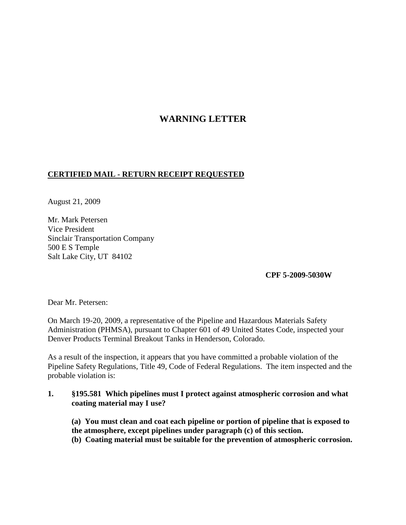## **WARNING LETTER**

## **CERTIFIED MAIL - RETURN RECEIPT REQUESTED**

August 21, 2009

Mr. Mark Petersen Vice President Sinclair Transportation Company 500 E S Temple Salt Lake City, UT 84102

**CPF 5-2009-5030W**

Dear Mr. Petersen:

On March 19-20, 2009, a representative of the Pipeline and Hazardous Materials Safety Administration (PHMSA), pursuant to Chapter 601 of 49 United States Code, inspected your Denver Products Terminal Breakout Tanks in Henderson, Colorado.

As a result of the inspection, it appears that you have committed a probable violation of the Pipeline Safety Regulations, Title 49, Code of Federal Regulations. The item inspected and the probable violation is:

## **1. §195.581 Which pipelines must I protect against atmospheric corrosion and what coating material may I use?**

**(a) You must clean and coat each pipeline or portion of pipeline that is exposed to the atmosphere, except pipelines under paragraph (c) of this section.**

**(b) Coating material must be suitable for the prevention of atmospheric corrosion.**